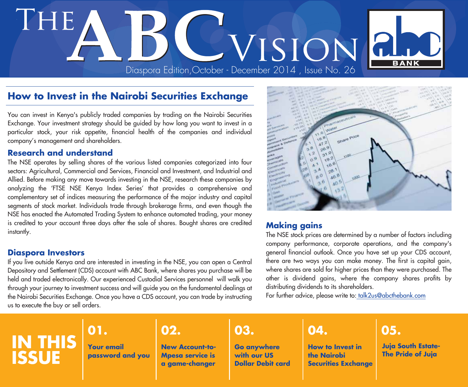# Diaspora Edition,October - December 2014 , Issue No. 26

#### **How to Invest in the Nairobi Securities Exchange**

You can invest in Kenya's publicly traded companies by trading on the Nairobi Securities Exchange. Your investment strategy should be guided by how long you want to invest in a particular stock, your risk appetite, financial health of the companies and individual company's management and shareholders.

#### **Research and understand**

The NSE operates by selling shares of the various listed companies categorized into four sectors: Agricultural, Commercial and Services, Financial and Investment, and Industrial and Allied. Before making any move towards investing in the NSE, research these companies by analyzing the 'FTSE NSE Kenya Index Series' that provides a comprehensive and complementary set of indices measuring the performance of the major industry and capital segments of stock market. Individuals trade through brokerage firms, and even though the NSE has enacted the Automated Trading System to enhance automated trading, your money is credited to your account three days after the sale of shares. Bought shares are credited instantly.

#### **Diaspora Investors**

If you live outside Kenya and are interested in investing in the NSE, you can open a Central Depository and Settlement (CDS) account with ABC Bank, where shares you purchase will be held and traded electronically. Our experienced Custodial Services personnel will walk you through your journey to investment success and will guide you on the fundamental dealings at the Nairobi Securities Exchange. Once you have a CDS account, you can trade by instructing us to execute the buy or sell orders.



#### **Making gains**

The NSE stock prices are determined by a number of factors including company performance, corporate operations, and the company's general financial outlook. Once you have set up your CDS account, there are two ways you can make money. The first is capital gain, where shares are sold for higher prices than they were purchased. The other is dividend gains, where the company shares profits by distributing dividends to its shareholders.

For further advice, please write to: talk2us@abcthebank.com

# **IN THIS ISSUE**

## **01. 02. 03. 04. 05.**

**Your email password and you**

**New Account-to-Mpesa service is a game-changer**

**Go anywhere with our US Dollar Debit card**

**How to Invest in the Nairobi Securities Exchange**

**Juja South Estate-The Pride of Juja**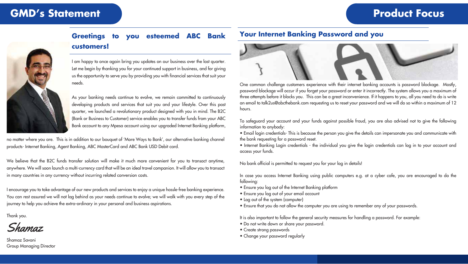## **GMD's Statement COMP's Statement**



## **Greetings to you esteemed ABC Bank customers!**



As your banking needs continue to evolve, we remain committed to continuously developing products and services that suit you and your lifestyle. Over this past quarter, we launched a revolutionary product designed with you in mind. The B2C (Bank or Business to Customer) service enables you to transfer funds from your ABC Bank account to any Mpesa account using our upgraded Internet Banking platform,

no matter where you are. This is in addition to our bouquet of 'More Ways to Bank', our alternative banking channel products- Internet Banking, Agent Banking, ABC MasterCard and ABC Bank USD Debit card.

We believe that the B2C funds transfer solution will make it much more convenient for you to transact anytime, anywhere. We will soon launch a multi-currency card that will be an ideal travel companion. It will allow you to transact in many countries in any currency without incurring related conversion costs.

I encourage you to take advantage of our new products and services to enjoy a unique hassle-free banking experience. You can rest assured we will not lag behind as your needs continue to evolve; we will walk with you every step of the journey to help you achieve the extra-ordinary in your personal and business aspirations.

Thank you.

Shamaz

Shamaz Savani Group Managing Director

#### **Your Internet Banking Password and you**



One common challenge customers experience with their internet banking accounts is password blockage. Mostly, password blockage will occur if you forget your password or enter it incorrectly. The system allows you a maximum of three attempts before it blocks you. This can be a great inconvenience. If it happens to you, all you need to do is write an email to talk2us@abcthebank.com requesting us to reset your password and we will do so within a maximum of 12 hours.

To safeguard your account and your funds against possible fraud, you are also advised not to give the following information to anybody:

• Email login credentials- This is because the person you give the details can impersonate you and communicate with the bank requesting for a password reset.

• Internet Banking Login credentials - the individual you give the login credentials can log in to your account and access your funds.

No bank official is permitted to request you for your log in details!

In case you access Internet Banking using public computers e.g. at a cyber cafe, you are encouraged to do the following:

- Ensure you log out of the Internet Banking platform
- Ensure you log out of your email account
- Log out of the system (computer)
- Ensure that you do not allow the computer you are using to remember any of your passwords.

It is also important to follow the general security measures for handling a password. For example:

- Do not write down or share your password.
- Create strong passwords
- Change your password regularly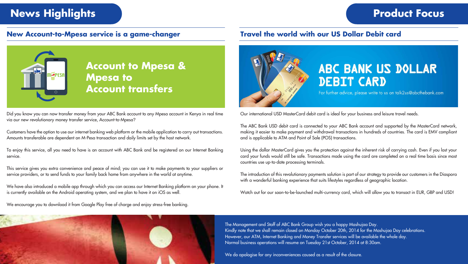# **News Highlights Product Focus**

#### **New Account-to-Mpesa service is a game-changer**

### **Travel the world with our US Dollar Debit card**



Did you know you can now transfer money from your ABC Bank account to any Mpesa account in Kenya in real time via our new revolutionary money transfer service, Account-to-Mpesa?

Customers have the option to use our internet banking web platform or the mobile application to carry out transactions. Amounts transferable are dependent on M-Pesa transaction and daily limits set by the host network.

To enjoy this service, all you need to have is an account with ABC Bank and be registered on our Internet Banking service.

This service gives you extra convenience and peace of mind; you can use it to make payments to your suppliers or service providers, or to send funds to your family back home from anywhere in the world at anytime.

We have also introduced a mobile app through which you can access our Internet Banking platform on your phone. It is currently available on the Android operating system, and we plan to have it on iOS as well.

We encourage you to download it from Google Play free of charge and enjoy stress-free banking.



# ABC BANK US DOLLAR **DEBIT CARD**

For further advice, please write to us on talk2us@abcthebank.com

Our international USD MasterCard debit card is ideal for your business and leisure travel needs.

The ABC Bank USD debit card is connected to your ABC Bank account and supported by the MasterCard network, making it easier to make payment and withdrawal transactions in hundreds of countries. The card is EMV compliant and is applicable to ATM and Point of Sale (POS) transactions.

Using the dollar MasterCard gives you the protection against the inherent risk of carrying cash. Even if you lost your card your funds would still be safe. Transactions made using the card are completed on a real time basis since most countries use up-to-date processing terminals.

The introduction of this revolutionary payments solution is part of our strategy to provide our customers in the Diaspora with a wonderful banking experience that suits lifestyles regardless of geographic location.

Watch out for our soon-to-be-launched multi-currency card, which will allow you to transact in EUR, GBP and USD!



The Management and Staff of ABC Bank Group wish you a happy Mashujaa Day. Kindly note that we shall remain closed on Monday October 20th, 2014 for the Mashujaa Day celebrations. However, our ATM, Internet Banking and Money Transfer services will be available the whole day. Normal business operations will resume on Tuesday 21st October, 2014 at 8:30am.

We do apologise for any inconveniences caused as a result of the closure.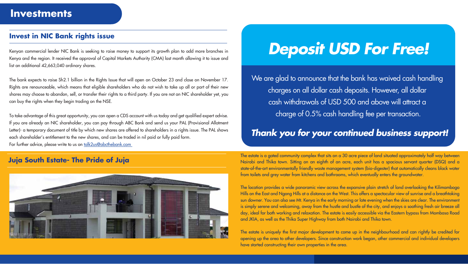### **Invest in NIC Bank rights issue**

Kenyan commercial lender NIC Bank is seeking to raise money to support its growth plan to add more branches in Kenya and the region. It received the approval of Capital Markets Authority (CMA) last month allowing it to issue and list an additional 42,663,040 ordinary shares.

The bank expects to raise Sh2.1 billion in the Rights Issue that will open on October 23 and close on November 17. Rights are renounceable, which means that eligible shareholders who do not wish to take up all or part of their new shares may choose to abandon, sell, or transfer their rights to a third party. If you are not an NIC shareholder yet, you can buy the rights when they begin trading on the NSE.

To take advantage of this great opportunity, you can open a CDS account with us today and get qualified expert advise. If you are already an NIC shareholder, you can pay through ABC Bank and send us your PAL (Provisional Allotment Letter)- a temporary document of title by which new shares are offered to shareholders in a rights issue. The PAL shows each shareholder's entitlement to the new shares, and can be traded in nil paid or fully paid form. For further advice, please write to us on talk2us@abcthebank.com

#### **Juja South Estate- The Pride of Juja**



# *Deposit USD For Free!*

We are glad to announce that the bank has waived cash handling charges on all dollar cash deposits. However, all dollar cash withdrawals of USD 500 and above will attract a charge of 0.5% cash handling fee per transaction.

## *Thank you for your continued business support!*

The estate is a gated community complex that sits on a 30 acre piece of land situated approximately half way between Nairobi and Thika town. Sitting on an eighth of an acre, each unit has a spacious servant quarter (DSQ) and a state-of-the-art environmentally friendly waste management system (bio-digester) that automatically cleans black water from toilets and grey water from kitchens and bathrooms, which eventually enters the groundwater.

The location provides a wide panoramic view across the expansive plain stretch of land overlooking the Kilimambogo Hills on the East and Ngong Hills at a distance on the West. This offers a spectacular view of sunrise and a breathtaking sun downer. You can also see Mt. Kenya in the early morning or late evening when the skies are clear. The environment is simply serene and welcoming, away from the hustle and bustle of the city, and enjoys a soothing fresh air breeze all day, ideal for both working and relaxation. The estate is easily accessible via the Eastern bypass from Mombasa Road and JKIA, as well as the Thika Super Highway from both Nairobi and Thika town.

The estate is uniquely the first major development to come up in the neighbourhood and can rightly be credited for opening up the area to other developers. Since construction work began, other commercial and individual developers have started constructing their own properties in the area.